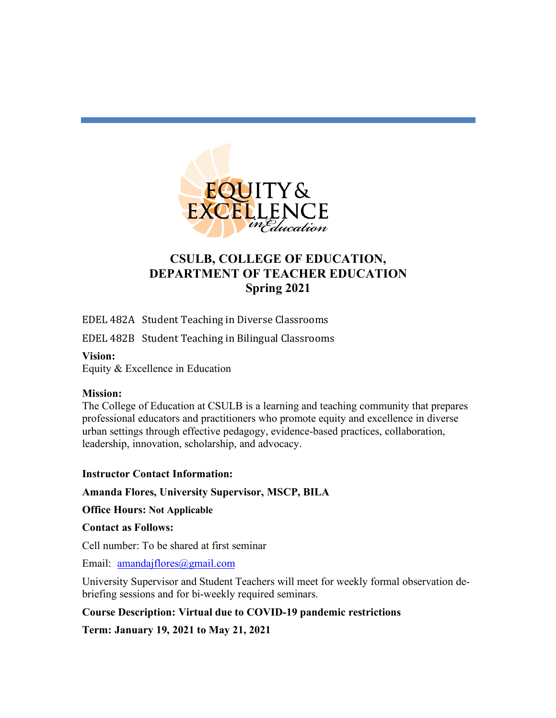

# **CSULB, COLLEGE OF EDUCATION, DEPARTMENT OF TEACHER EDUCATION Spring 2021**

EDEL 482A Student Teaching in Diverse Classrooms

EDEL 482B Student Teaching in Bilingual Classrooms

### **Vision:**

Equity & Excellence in Education

### **Mission:**

The College of Education at CSULB is a learning and teaching community that prepares professional educators and practitioners who promote equity and excellence in diverse urban settings through effective pedagogy, evidence-based practices, collaboration, leadership, innovation, scholarship, and advocacy.

# **Instructor Contact Information:**

**Amanda Flores, University Supervisor, MSCP, BILA**

**Office Hours: Not Applicable** 

### **Contact as Follows:**

Cell number: To be shared at first seminar

Email: amandajflores@gmail.com

University Supervisor and Student Teachers will meet for weekly formal observation debriefing sessions and for bi-weekly required seminars.

# **Course Description: Virtual due to COVID-19 pandemic restrictions**

**Term: January 19, 2021 to May 21, 2021**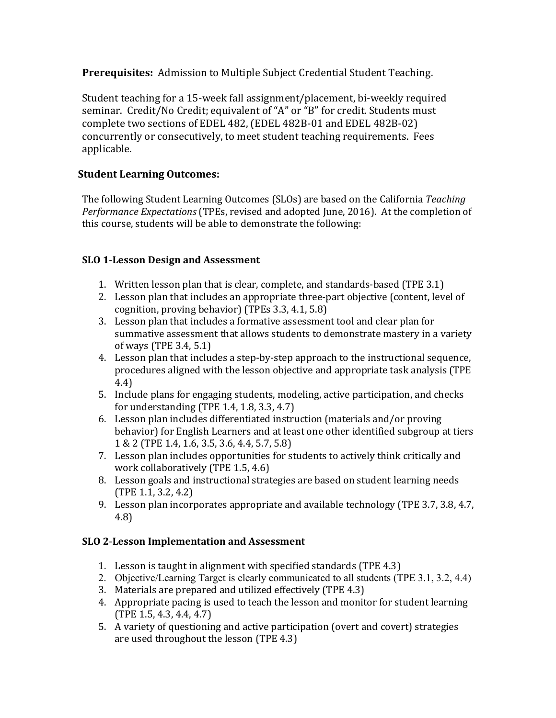**Prerequisites:** Admission to Multiple Subject Credential Student Teaching.

Student teaching for a 15-week fall assignment/placement, bi-weekly required seminar. Credit/No Credit; equivalent of "A" or "B" for credit. Students must complete two sections of EDEL 482, (EDEL 482B-01 and EDEL 482B-02) concurrently or consecutively, to meet student teaching requirements. Fees applicable.

# **Student Learning Outcomes:**

The following Student Learning Outcomes (SLOs) are based on the California *Teaching Performance Expectations* (TPEs, revised and adopted June, 2016). At the completion of this course, students will be able to demonstrate the following:

# **SLO 1**-**Lesson Design and Assessment**

- 1. Written lesson plan that is clear, complete, and standards-based (TPE 3.1)
- 2. Lesson plan that includes an appropriate three-part objective (content, level of cognition, proving behavior) (TPEs 3.3, 4.1, 5.8)
- 3. Lesson plan that includes a formative assessment tool and clear plan for summative assessment that allows students to demonstrate mastery in a variety of ways (TPE  $3.4, 5.1$ )
- 4. Lesson plan that includes a step-by-step approach to the instructional sequence, procedures aligned with the lesson objective and appropriate task analysis (TPE) 4.4)
- 5. Include plans for engaging students, modeling, active participation, and checks for understanding  $(TPE 1.4, 1.8, 3.3, 4.7)$
- 6. Lesson plan includes differentiated instruction (materials and/or proving behavior) for English Learners and at least one other identified subgroup at tiers 1 & 2 (TPE 1.4, 1.6, 3.5, 3.6, 4.4, 5.7, 5.8)
- 7. Lesson plan includes opportunities for students to actively think critically and work collaboratively  $(TPE 1.5, 4.6)$
- 8. Lesson goals and instructional strategies are based on student learning needs  $(TPE 1.1, 3.2, 4.2)$
- 9. Lesson plan incorporates appropriate and available technology (TPE 3.7, 3.8, 4.7, 4.8)

# **SLO 2**-**Lesson Implementation and Assessment**

- 1. Lesson is taught in alignment with specified standards (TPE  $4.3$ )
- 2. Objective/Learning Target is clearly communicated to all students (TPE 3.1, 3.2, 4.4)
- 3. Materials are prepared and utilized effectively (TPE 4.3)
- 4. Appropriate pacing is used to teach the lesson and monitor for student learning  $(TPE 1.5, 4.3, 4.4, 4.7)$
- 5. A variety of questioning and active participation (overt and covert) strategies are used throughout the lesson (TPE 4.3)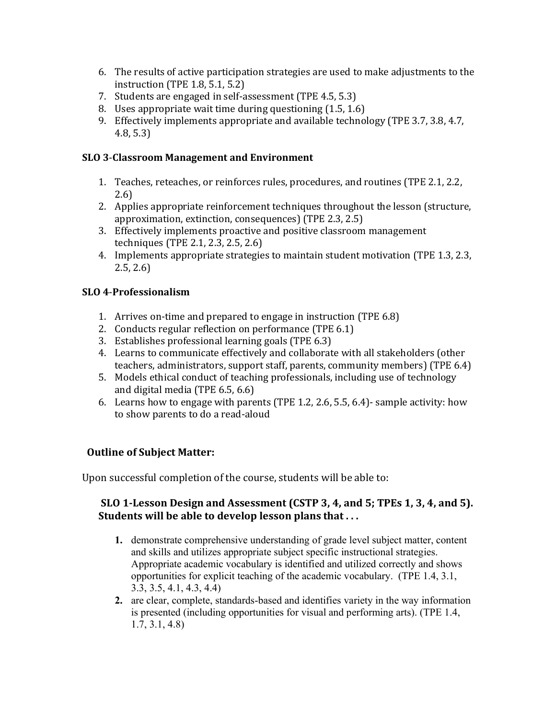- 6. The results of active participation strategies are used to make adjustments to the instruction (TPE 1.8, 5.1, 5.2)
- 7. Students are engaged in self-assessment (TPE 4.5, 5.3)
- 8. Uses appropriate wait time during questioning (1.5, 1.6)
- 9. Effectively implements appropriate and available technology (TPE 3.7, 3.8, 4.7, 4.8, 5.3)

#### **SLO 3-Classroom Management and Environment**

- 1. Teaches, reteaches, or reinforces rules, procedures, and routines (TPE 2.1, 2.2, 2.6)
- 2. Applies appropriate reinforcement techniques throughout the lesson (structure, approximation, extinction, consequences) (TPE 2.3, 2.5)
- 3. Effectively implements proactive and positive classroom management techniques (TPE  $2.1, 2.3, 2.5, 2.6$ )
- 4. Implements appropriate strategies to maintain student motivation (TPE 1.3, 2.3,  $2.5, 2.6$

### **SLO 4**-**Professionalism**

- 1. Arrives on-time and prepared to engage in instruction (TPE 6.8)
- 2. Conducts regular reflection on performance (TPE 6.1)
- 3. Establishes professional learning goals (TPE 6.3)
- 4. Learns to communicate effectively and collaborate with all stakeholders (other teachers, administrators, support staff, parents, community members) (TPE 6.4)
- 5. Models ethical conduct of teaching professionals, including use of technology and digital media  $(TPE 6.5, 6.6)$
- 6. Learns how to engage with parents (TPE 1.2, 2.6, 5.5, 6.4)- sample activity: how to show parents to do a read-aloud

### **Outline of Subject Matter:**

Upon successful completion of the course, students will be able to:

### **SLO 1-Lesson Design and Assessment (CSTP 3, 4, and 5; TPEs 1, 3, 4, and 5). Students will be able to develop lesson plans that...**

- **1.** demonstrate comprehensive understanding of grade level subject matter, content and skills and utilizes appropriate subject specific instructional strategies. Appropriate academic vocabulary is identified and utilized correctly and shows opportunities for explicit teaching of the academic vocabulary. (TPE 1.4, 3.1, 3.3, 3.5, 4.1, 4.3, 4.4)
- **2.** are clear, complete, standards-based and identifies variety in the way information is presented (including opportunities for visual and performing arts). (TPE 1.4, 1.7, 3.1, 4.8)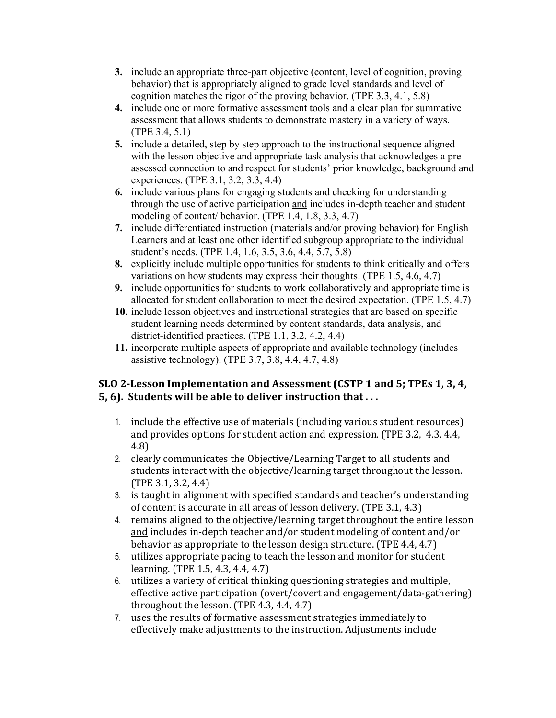- **3.** include an appropriate three-part objective (content, level of cognition, proving behavior) that is appropriately aligned to grade level standards and level of cognition matches the rigor of the proving behavior. (TPE 3.3, 4.1, 5.8)
- **4.** include one or more formative assessment tools and a clear plan for summative assessment that allows students to demonstrate mastery in a variety of ways. (TPE 3.4, 5.1)
- **5.** include a detailed, step by step approach to the instructional sequence aligned with the lesson objective and appropriate task analysis that acknowledges a preassessed connection to and respect for students' prior knowledge, background and experiences. (TPE 3.1, 3.2, 3.3, 4.4)
- **6.** include various plans for engaging students and checking for understanding through the use of active participation and includes in-depth teacher and student modeling of content/ behavior. (TPE 1.4, 1.8, 3.3, 4.7)
- **7.** include differentiated instruction (materials and/or proving behavior) for English Learners and at least one other identified subgroup appropriate to the individual student's needs. (TPE 1.4, 1.6, 3.5, 3.6, 4.4, 5.7, 5.8)
- **8.** explicitly include multiple opportunities for students to think critically and offers variations on how students may express their thoughts. (TPE 1.5, 4.6, 4.7)
- **9.** include opportunities for students to work collaboratively and appropriate time is allocated for student collaboration to meet the desired expectation. (TPE 1.5, 4.7)
- **10.** include lesson objectives and instructional strategies that are based on specific student learning needs determined by content standards, data analysis, and district-identified practices. (TPE 1.1, 3.2, 4.2, 4.4)
- **11.** incorporate multiple aspects of appropriate and available technology (includes assistive technology). (TPE 3.7, 3.8, 4.4, 4.7, 4.8)

# **SLO 2-Lesson Implementation and Assessment (CSTP 1 and 5; TPEs 1, 3, 4, 5, 6). Students will be able to deliver instruction that...**

- 1. include the effective use of materials (including various student resources) and provides options for student action and expression. (TPE 3.2, 4.3, 4.4, 4.8)
- 2. clearly communicates the Objective/Learning Target to all students and students interact with the objective/learning target throughout the lesson.  $(TPE 3.1, 3.2, 4.4)$
- 3. is taught in alignment with specified standards and teacher's understanding of content is accurate in all areas of lesson delivery. (TPE 3.1, 4.3)
- 4. remains aligned to the objective/learning target throughout the entire lesson and includes in-depth teacher and/or student modeling of content and/or behavior as appropriate to the lesson design structure.  $(TPE 4.4, 4.7)$
- 5. utilizes appropriate pacing to teach the lesson and monitor for student learning. (TPE 1.5, 4.3, 4.4, 4.7)
- 6. utilizes a variety of critical thinking questioning strategies and multiple, effective active participation (overt/covert and engagement/data-gathering) throughout the lesson.  $(TPE 4.3, 4.4, 4.7)$
- 7. uses the results of formative assessment strategies immediately to effectively make adjustments to the instruction. Adjustments include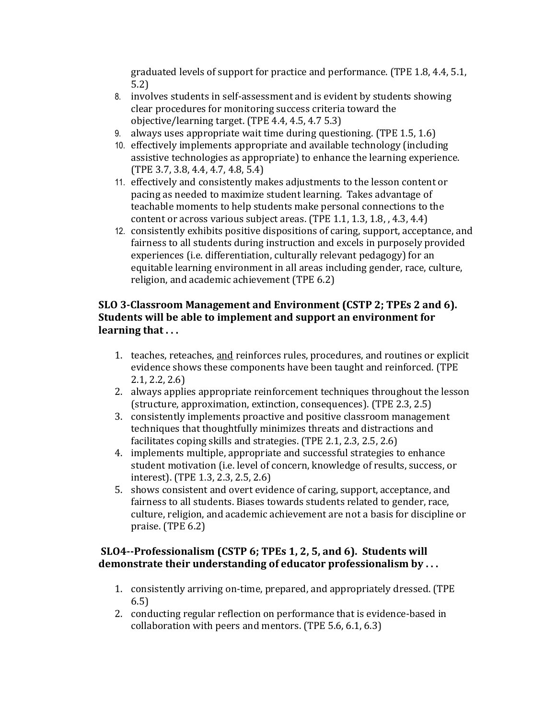graduated levels of support for practice and performance. (TPE 1.8, 4.4, 5.1, 5.2)

- 8. involves students in self-assessment and is evident by students showing clear procedures for monitoring success criteria toward the objective/learning target.  $(TPE 4.4, 4.5, 4.7 5.3)$
- 9. always uses appropriate wait time during questioning. (TPE  $1.5, 1.6$ )
- 10. effectively implements appropriate and available technology (including assistive technologies as appropriate) to enhance the learning experience.  $(TPE 3.7, 3.8, 4.4, 4.7, 4.8, 5.4)$
- 11. effectively and consistently makes adjustments to the lesson content or pacing as needed to maximize student learning. Takes advantage of teachable moments to help students make personal connections to the content or across various subject areas. (TPE  $1.1, 1.3, 1.8, 4.3, 4.4$ )
- 12. consistently exhibits positive dispositions of caring, support, acceptance, and fairness to all students during instruction and excels in purposely provided experiences (i.e. differentiation, culturally relevant pedagogy) for an equitable learning environment in all areas including gender, race, culture, religion, and academic achievement (TPE 6.2)

# **SLO 3-Classroom Management and Environment (CSTP 2; TPEs 2 and 6). Students will be able to implement and support an environment for** learning that ...

- 1. teaches, reteaches, and reinforces rules, procedures, and routines or explicit evidence shows these components have been taught and reinforced. (TPE  $2.1, 2.2, 2.6$
- 2. always applies appropriate reinforcement techniques throughout the lesson (structure, approximation, extinction, consequences). (TPE 2.3, 2.5)
- 3. consistently implements proactive and positive classroom management techniques that thoughtfully minimizes threats and distractions and facilitates coping skills and strategies.  $(TPE 2.1, 2.3, 2.5, 2.6)$
- 4. implements multiple, appropriate and successful strategies to enhance student motivation (i.e. level of concern, knowledge of results, success, or interest). (TPE 1.3, 2.3, 2.5, 2.6)
- 5. shows consistent and overt evidence of caring, support, acceptance, and fairness to all students. Biases towards students related to gender, race, culture, religion, and academic achievement are not a basis for discipline or praise.  $(TPE 6.2)$

# **SLO4--Professionalism (CSTP 6; TPEs 1, 2, 5, and 6). Students will** demonstrate their understanding of educator professionalism by ...

- 1. consistently arriving on-time, prepared, and appropriately dressed. (TPE 6.5)
- 2. conducting regular reflection on performance that is evidence-based in collaboration with peers and mentors.  $(TPE 5.6, 6.1, 6.3)$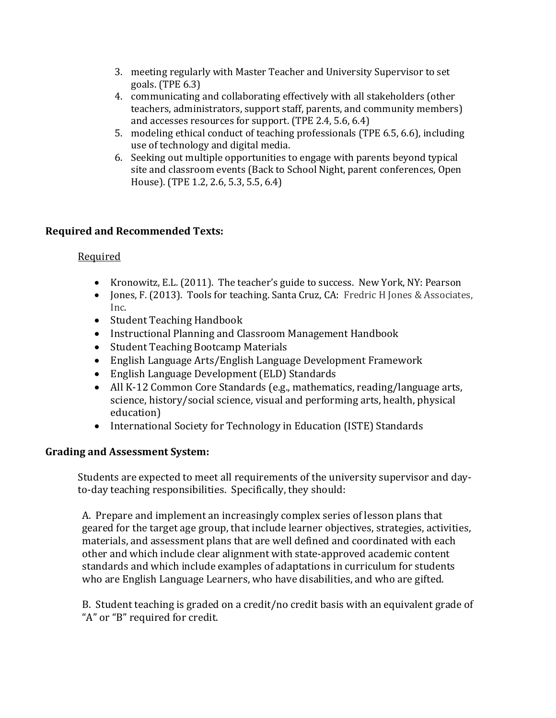- 3. meeting regularly with Master Teacher and University Supervisor to set goals. (TPE  $6.3$ )
- 4. communicating and collaborating effectively with all stakeholders (other teachers, administrators, support staff, parents, and community members) and accesses resources for support.  $(TPE 2.4, 5.6, 6.4)$
- 5. modeling ethical conduct of teaching professionals (TPE 6.5, 6.6), including use of technology and digital media.
- 6. Seeking out multiple opportunities to engage with parents beyond typical site and classroom events (Back to School Night, parent conferences, Open House). (TPE 1.2, 2.6, 5.3, 5.5, 6.4)

# **Required and Recommended Texts:**

### Required

- Kronowitz, E.L. (2011). The teacher's guide to success. New York, NY: Pearson
- Jones, F. (2013). Tools for teaching. Santa Cruz, CA: Fredric H Jones & Associates, Inc.
- Student Teaching Handbook
- Instructional Planning and Classroom Management Handbook
- Student Teaching Bootcamp Materials
- English Language Arts/English Language Development Framework
- English Language Development (ELD) Standards
- All K-12 Common Core Standards (e.g., mathematics, reading/language arts, science, history/social science, visual and performing arts, health, physical education)
- International Society for Technology in Education (ISTE) Standards

# **Grading and Assessment System:**

Students are expected to meet all requirements of the university supervisor and dayto-day teaching responsibilities. Specifically, they should:

A. Prepare and implement an increasingly complex series of lesson plans that geared for the target age group, that include learner objectives, strategies, activities, materials, and assessment plans that are well defined and coordinated with each other and which include clear alignment with state-approved academic content standards and which include examples of adaptations in curriculum for students who are English Language Learners, who have disabilities, and who are gifted.

B. Student teaching is graded on a credit/no credit basis with an equivalent grade of "A" or "B" required for credit.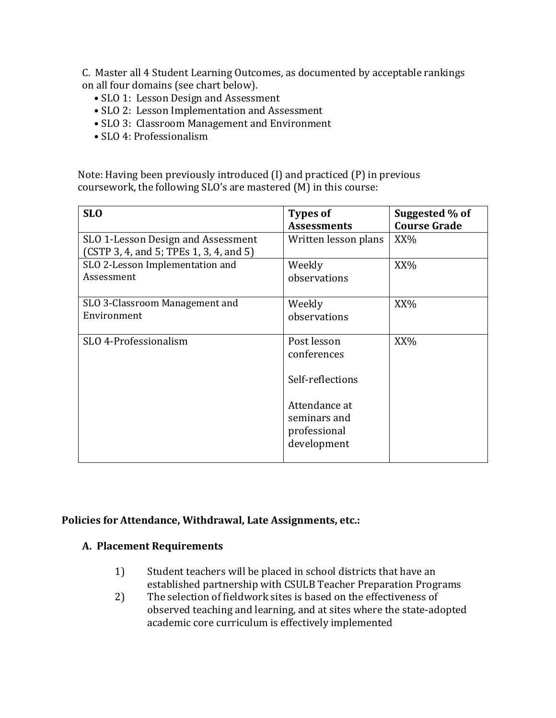C. Master all 4 Student Learning Outcomes, as documented by acceptable rankings on all four domains (see chart below).

- SLO 1: Lesson Design and Assessment
- SLO 2: Lesson Implementation and Assessment
- SLO 3: Classroom Management and Environment
- SLO 4: Professionalism

Note: Having been previously introduced  $(I)$  and practiced  $(P)$  in previous coursework, the following SLO's are mastered  $(M)$  in this course:

| <b>SLO</b>                                                                    | <b>Types of</b><br><b>Assessments</b>                        | Suggested % of<br><b>Course Grade</b> |
|-------------------------------------------------------------------------------|--------------------------------------------------------------|---------------------------------------|
| SLO 1-Lesson Design and Assessment<br>(CSTP 3, 4, and 5; TPEs 1, 3, 4, and 5) | Written lesson plans                                         | XX%                                   |
| SLO 2-Lesson Implementation and<br>Assessment                                 | Weekly<br>observations                                       | XX%                                   |
| SLO 3-Classroom Management and<br>Environment                                 | Weekly<br>observations                                       | XX%                                   |
| SLO 4-Professionalism                                                         | Post lesson<br>conferences<br>Self-reflections               | XX%                                   |
|                                                                               | Attendance at<br>seminars and<br>professional<br>development |                                       |

#### Policies for Attendance, Withdrawal, Late Assignments, etc.:

#### **A. Placement Requirements**

- 1) Student teachers will be placed in school districts that have an established partnership with CSULB Teacher Preparation Programs
- 2) The selection of fieldwork sites is based on the effectiveness of observed teaching and learning, and at sites where the state-adopted academic core curriculum is effectively implemented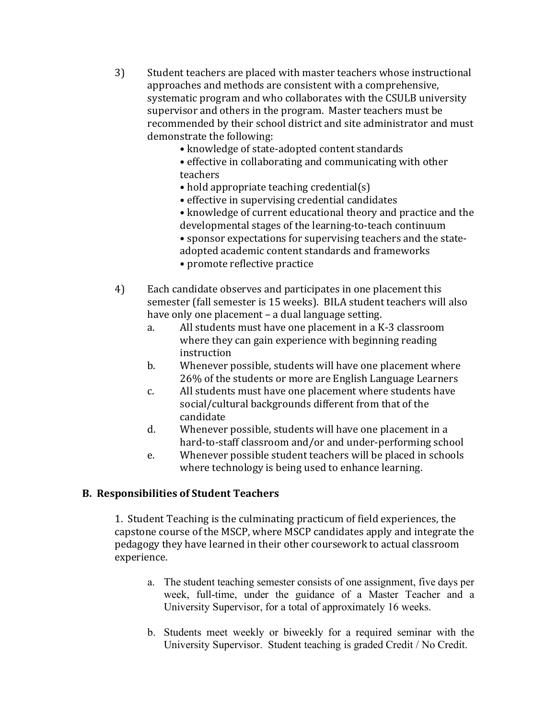- 3) Student teachers are placed with master teachers whose instructional approaches and methods are consistent with a comprehensive, systematic program and who collaborates with the CSULB university supervisor and others in the program. Master teachers must be recommended by their school district and site administrator and must demonstrate the following:
	- knowledge of state-adopted content standards
	- effective in collaborating and communicating with other teachers
	- hold appropriate teaching credential $(s)$
	- effective in supervising credential candidates
	- knowledge of current educational theory and practice and the developmental stages of the learning-to-teach continuum
	- sponsor expectations for supervising teachers and the state-
	- adopted academic content standards and frameworks
	- promote reflective practice
- 4) Each candidate observes and participates in one placement this semester (fall semester is 15 weeks). BILA student teachers will also have only one placement  $-$  a dual language setting.
	- a. All students must have one placement in a K-3 classroom where they can gain experience with beginning reading instruction
	- b. Whenever possible, students will have one placement where 26% of the students or more are English Language Learners
	- c. All students must have one placement where students have social/cultural backgrounds different from that of the candidate
	- d. Whenever possible, students will have one placement in a hard-to-staff classroom and/or and under-performing school
	- e. Whenever possible student teachers will be placed in schools where technology is being used to enhance learning.

#### **B. Responsibilities of Student Teachers**

1. Student Teaching is the culminating practicum of field experiences, the capstone course of the MSCP, where MSCP candidates apply and integrate the pedagogy they have learned in their other coursework to actual classroom experience. 

- a. The student teaching semester consists of one assignment, five days per week, full-time, under the guidance of a Master Teacher and a University Supervisor, for a total of approximately 16 weeks.
- b. Students meet weekly or biweekly for a required seminar with the University Supervisor. Student teaching is graded Credit / No Credit.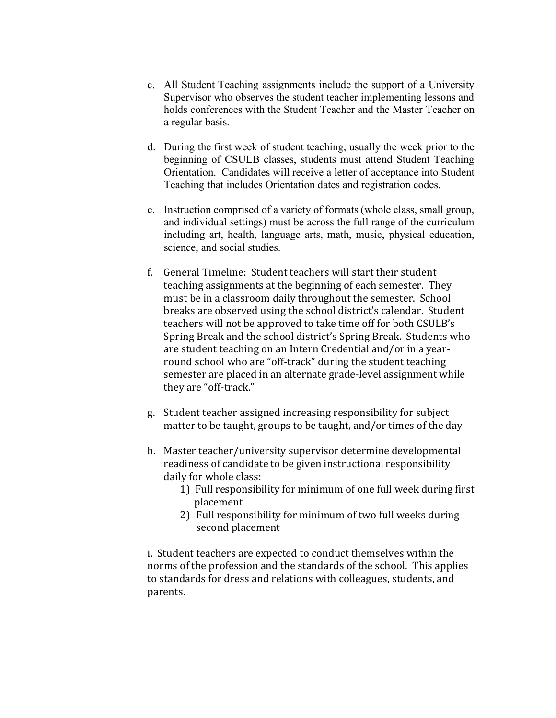- c. All Student Teaching assignments include the support of a University Supervisor who observes the student teacher implementing lessons and holds conferences with the Student Teacher and the Master Teacher on a regular basis.
- d. During the first week of student teaching, usually the week prior to the beginning of CSULB classes, students must attend Student Teaching Orientation. Candidates will receive a letter of acceptance into Student Teaching that includes Orientation dates and registration codes.
- e. Instruction comprised of a variety of formats (whole class, small group, and individual settings) must be across the full range of the curriculum including art, health, language arts, math, music, physical education, science, and social studies.
- f. General Timeline: Student teachers will start their student teaching assignments at the beginning of each semester. They must be in a classroom daily throughout the semester. School breaks are observed using the school district's calendar. Student teachers will not be approved to take time off for both CSULB's Spring Break and the school district's Spring Break. Students who are student teaching on an Intern Credential and/or in a yearround school who are "off-track" during the student teaching semester are placed in an alternate grade-level assignment while they are "off-track."
- g. Student teacher assigned increasing responsibility for subject matter to be taught, groups to be taught, and/or times of the day
- h. Master teacher/university supervisor determine developmental readiness of candidate to be given instructional responsibility daily for whole class:
	- 1) Full responsibility for minimum of one full week during first placement
	- 2) Full responsibility for minimum of two full weeks during second placement

i. Student teachers are expected to conduct themselves within the norms of the profession and the standards of the school. This applies to standards for dress and relations with colleagues, students, and parents.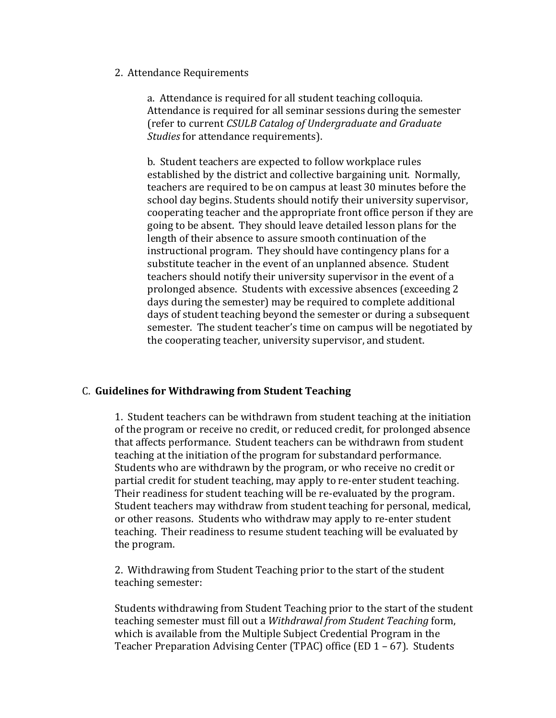#### 2. Attendance Requirements

a. Attendance is required for all student teaching colloquia. Attendance is required for all seminar sessions during the semester (refer to current *CSULB Catalog of Undergraduate and Graduate Studies* for attendance requirements).

b. Student teachers are expected to follow workplace rules established by the district and collective bargaining unit. Normally, teachers are required to be on campus at least 30 minutes before the school day begins. Students should notify their university supervisor, cooperating teacher and the appropriate front office person if they are going to be absent. They should leave detailed lesson plans for the length of their absence to assure smooth continuation of the instructional program. They should have contingency plans for a substitute teacher in the event of an unplanned absence. Student teachers should notify their university supervisor in the event of a prolonged absence. Students with excessive absences (exceeding 2 days during the semester) may be required to complete additional days of student teaching beyond the semester or during a subsequent semester. The student teacher's time on campus will be negotiated by the cooperating teacher, university supervisor, and student.

### C. **Guidelines for Withdrawing from Student Teaching**

1. Student teachers can be withdrawn from student teaching at the initiation of the program or receive no credit, or reduced credit, for prolonged absence that affects performance. Student teachers can be withdrawn from student teaching at the initiation of the program for substandard performance. Students who are withdrawn by the program, or who receive no credit or partial credit for student teaching, may apply to re-enter student teaching. Their readiness for student teaching will be re-evaluated by the program. Student teachers may withdraw from student teaching for personal, medical, or other reasons. Students who withdraw may apply to re-enter student teaching. Their readiness to resume student teaching will be evaluated by the program.

2. Withdrawing from Student Teaching prior to the start of the student teaching semester:

Students withdrawing from Student Teaching prior to the start of the student teaching semester must fill out a Withdrawal from Student Teaching form, which is available from the Multiple Subject Credential Program in the Teacher Preparation Advising Center (TPAC) office  $(ED 1 - 67)$ . Students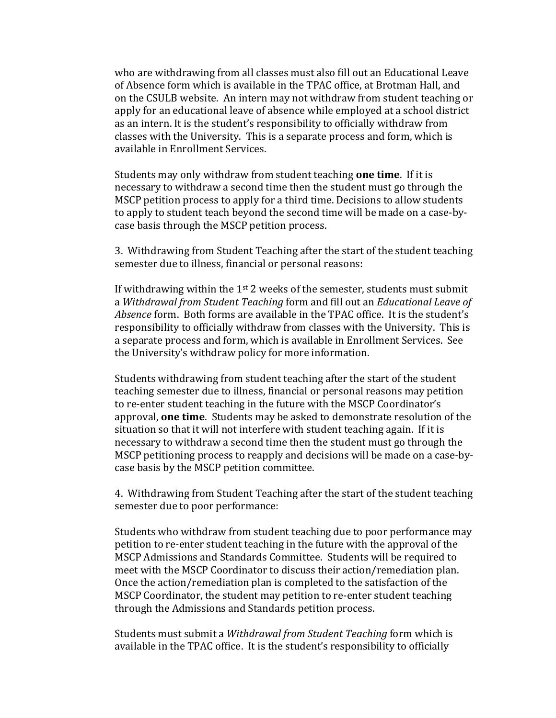who are withdrawing from all classes must also fill out an Educational Leave of Absence form which is available in the TPAC office, at Brotman Hall, and on the CSULB website. An intern may not withdraw from student teaching or apply for an educational leave of absence while employed at a school district as an intern. It is the student's responsibility to officially withdraw from classes with the University. This is a separate process and form, which is available in Enrollment Services.

Students may only withdraw from student teaching **one time**. If it is necessary to withdraw a second time then the student must go through the MSCP petition process to apply for a third time. Decisions to allow students to apply to student teach beyond the second time will be made on a case-bycase basis through the MSCP petition process.

3. Withdrawing from Student Teaching after the start of the student teaching semester due to illness, financial or personal reasons:

If withdrawing within the  $1^{st}$  2 weeks of the semester, students must submit a Withdrawal from Student Teaching form and fill out an *Educational Leave of Absence* form. Both forms are available in the TPAC office. It is the student's responsibility to officially withdraw from classes with the University. This is a separate process and form, which is available in Enrollment Services. See the University's withdraw policy for more information.

Students withdrawing from student teaching after the start of the student teaching semester due to illness, financial or personal reasons may petition to re-enter student teaching in the future with the MSCP Coordinator's approval, **one time**. Students may be asked to demonstrate resolution of the situation so that it will not interfere with student teaching again. If it is necessary to withdraw a second time then the student must go through the MSCP petitioning process to reapply and decisions will be made on a case-bycase basis by the MSCP petition committee.

4. Withdrawing from Student Teaching after the start of the student teaching semester due to poor performance:

Students who withdraw from student teaching due to poor performance may petition to re-enter student teaching in the future with the approval of the MSCP Admissions and Standards Committee. Students will be required to meet with the MSCP Coordinator to discuss their action/remediation plan. Once the action/remediation plan is completed to the satisfaction of the MSCP Coordinator, the student may petition to re-enter student teaching through the Admissions and Standards petition process.

Students must submit a *Withdrawal from Student Teaching* form which is available in the TPAC office. It is the student's responsibility to officially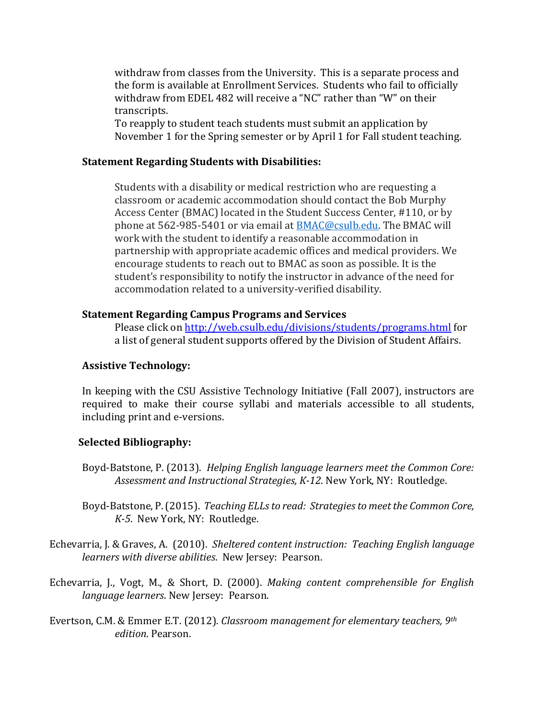withdraw from classes from the University. This is a separate process and the form is available at Enrollment Services. Students who fail to officially withdraw from EDEL 482 will receive a "NC" rather than "W" on their transcripts. 

To reapply to student teach students must submit an application by November 1 for the Spring semester or by April 1 for Fall student teaching.

#### **Statement Regarding Students with Disabilities:**

Students with a disability or medical restriction who are requesting a classroom or academic accommodation should contact the Bob Murphy Access Center (BMAC) located in the Student Success Center, #110, or by phone at 562-985-5401 or via email at BMAC@csulb.edu. The BMAC will work with the student to identify a reasonable accommodation in partnership with appropriate academic offices and medical providers. We encourage students to reach out to BMAC as soon as possible. It is the student's responsibility to notify the instructor in advance of the need for accommodation related to a university-verified disability.

#### **Statement Regarding Campus Programs and Services**

Please click on http://web.csulb.edu/divisions/students/programs.html for a list of general student supports offered by the Division of Student Affairs.

#### **Assistive Technology:**

In keeping with the CSU Assistive Technology Initiative (Fall 2007), instructors are required to make their course syllabi and materials accessible to all students, including print and e-versions.

#### **Selected Bibliography:**

- Boyd-Batstone, P. (2013). *Helping English language learners meet the Common Core:* Assessment and Instructional Strategies, K-12. New York, NY: Routledge.
- Boyd-Batstone, P. (2015). *Teaching ELLs to read: Strategies to meet the Common Core, K-5*. New York, NY: Routledge.
- Echevarria, J. & Graves, A. (2010). Sheltered content instruction: Teaching English language *learners with diverse abilities*. New Jersey: Pearson.
- Echevarria, J., Vogt, M., & Short, D. (2000). *Making content comprehensible for English language learners*. New Jersey: Pearson.
- Evertson, C.M. & Emmer E.T. (2012). *Classroom management for elementary teachers, 9<sup>th</sup> edition*. Pearson.